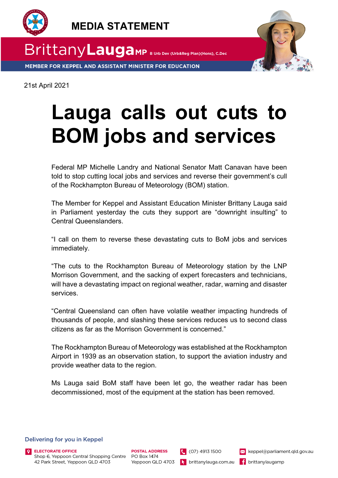



MEMBER FOR KEPPEL AND ASSISTANT MINISTER FOR EDUCATION

21st April 2021

## **Lauga calls out cuts to BOM jobs and services**

Federal MP Michelle Landry and National Senator Matt Canavan have been told to stop cutting local jobs and services and reverse their government's cull of the Rockhampton Bureau of Meteorology (BOM) station.

The Member for Keppel and Assistant Education Minister Brittany Lauga said in Parliament yesterday the cuts they support are "downright insulting" to Central Queenslanders.

"I call on them to reverse these devastating cuts to BoM jobs and services immediately.

"The cuts to the Rockhampton Bureau of Meteorology station by the LNP Morrison Government, and the sacking of expert forecasters and technicians, will have a devastating impact on regional weather, radar, warning and disaster services.

"Central Queensland can often have volatile weather impacting hundreds of thousands of people, and slashing these services reduces us to second class citizens as far as the Morrison Government is concerned."

The Rockhampton Bureau of Meteorology was established at the Rockhampton Airport in 1939 as an observation station, to support the aviation industry and provide weather data to the region.

Ms Lauga said BoM staff have been let go, the weather radar has been decommissioned, most of the equipment at the station has been removed.

**POSTAL ADDRESS** 

## Delivering for you in Keppel



keppel@parliament.qld.gov.au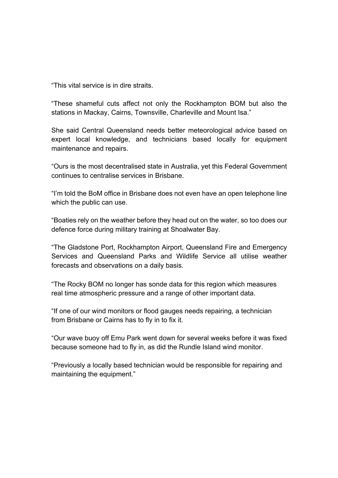"This vital service is in dire straits.

"These shameful cuts affect not only the Rockhampton BOM but also the stations in Mackay, Cairns, Townsville, Charleville and Mount Isa."

She said Central Queensland needs better meteorological advice based on expert local knowledge, and technicians based locally for equipment maintenance and repairs.

"Ours is the most decentralised state in Australia, yet this Federal Government continues to centralise services in Brisbane.

"I'm told the BoM office in Brisbane does not even have an open telephone line which the public can use.

"Boaties rely on the weather before they head out on the water, so too does our defence force during military training at Shoalwater Bay.

"The Gladstone Port, Rockhampton Airport, Queensland Fire and Emergency Services and Queensland Parks and Wildlife Service all utilise weather forecasts and observations on a daily basis.

"The Rocky BOM no longer has sonde data for this region which measures real time atmospheric pressure and a range of other important data.

"If one of our wind monitors or flood gauges needs repairing, a technician from Brisbane or Cairns has to fly in to fix it.

"Our wave buoy off Emu Park went down for several weeks before it was fixed because someone had to fly in, as did the Rundle Island wind monitor.

"Previously a locally based technician would be responsible for repairing and maintaining the equipment."